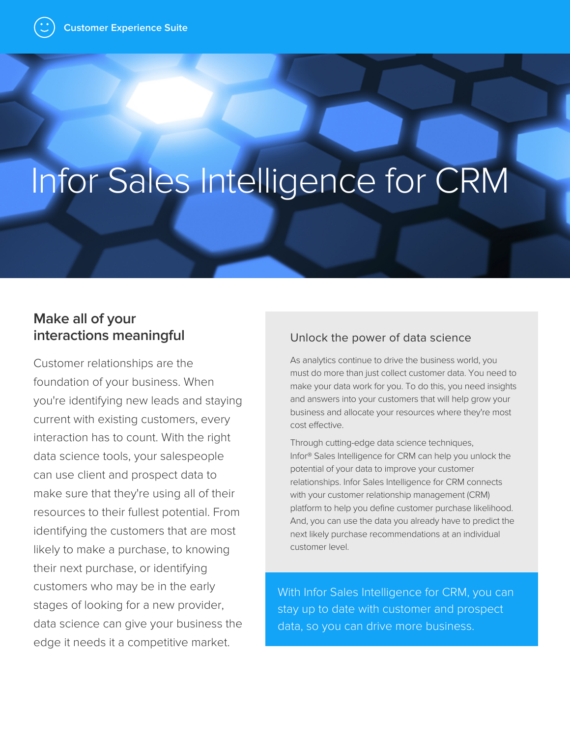# Infor Sales Intelligence for CRM

## **Make all of your interactions meaningful**

Customer relationships are the foundation of your business. When you're identifying new leads and staying current with existing customers, every interaction has to count. With the right data science tools, your salespeople can use client and prospect data to make sure that they're using all of their resources to their fullest potential. From identifying the customers that are most likely to make a purchase, to knowing their next purchase, or identifying customers who may be in the early stages of looking for a new provider, data science can give your business the edge it needs it a competitive market.

#### Unlock the power of data science

As analytics continue to drive the business world, you must do more than just collect customer data. You need to make your data work for you. To do this, you need insights and answers into your customers that will help grow your business and allocate your resources where they're most cost effective.

Through cutting-edge data science techniques, Infor® Sales Intelligence for CRM can help you unlock the potential of your data to improve your customer relationships. Infor Sales Intelligence for CRM connects with your customer relationship management (CRM) platform to help you define customer purchase likelihood. And, you can use the data you already have to predict the next likely purchase recommendations at an individual customer level.

With Infor Sales Intelligence for CRM, you can stay up to date with customer and prospect data, so you can drive more business.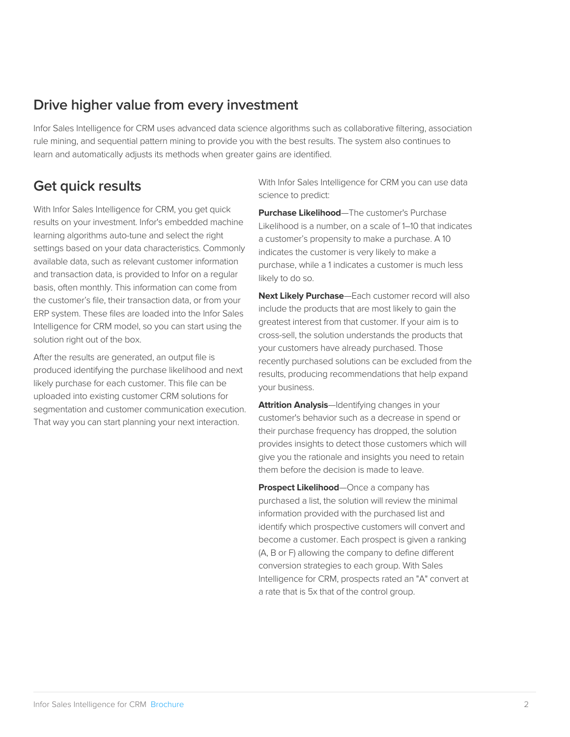### **Drive higher value from every investment**

Infor Sales Intelligence for CRM uses advanced data science algorithms such as collaborative filtering, association rule mining, and sequential pattern mining to provide you with the best results. The system also continues to learn and automatically adjusts its methods when greater gains are identified.

### **Get quick results**

With Infor Sales Intelligence for CRM, you get quick results on your investment. Infor's embedded machine learning algorithms auto-tune and select the right settings based on your data characteristics. Commonly available data, such as relevant customer information and transaction data, is provided to Infor on a regular basis, often monthly. This information can come from the customer's file, their transaction data, or from your ERP system. These files are loaded into the Infor Sales Intelligence for CRM model, so you can start using the solution right out of the box.

After the results are generated, an output file is produced identifying the purchase likelihood and next likely purchase for each customer. This file can be uploaded into existing customer CRM solutions for segmentation and customer communication execution. That way you can start planning your next interaction.

With Infor Sales Intelligence for CRM you can use data science to predict:

**Purchase Likelihood**—The customer's Purchase Likelihood is a number, on a scale of 1–10 that indicates a customer's propensity to make a purchase. A 10 indicates the customer is very likely to make a purchase, while a 1 indicates a customer is much less likely to do so.

**Next Likely Purchase**—Each customer record will also include the products that are most likely to gain the greatest interest from that customer. If your aim is to cross-sell, the solution understands the products that your customers have already purchased. Those recently purchased solutions can be excluded from the results, producing recommendations that help expand your business.

**Attrition Analysis**—Identifying changes in your customer's behavior such as a decrease in spend or their purchase frequency has dropped, the solution provides insights to detect those customers which will give you the rationale and insights you need to retain them before the decision is made to leave.

**Prospect Likelihood**—Once a company has purchased a list, the solution will review the minimal information provided with the purchased list and identify which prospective customers will convert and become a customer. Each prospect is given a ranking (A, B or F) allowing the company to define different conversion strategies to each group. With Sales Intelligence for CRM, prospects rated an "A" convert at a rate that is 5x that of the control group.